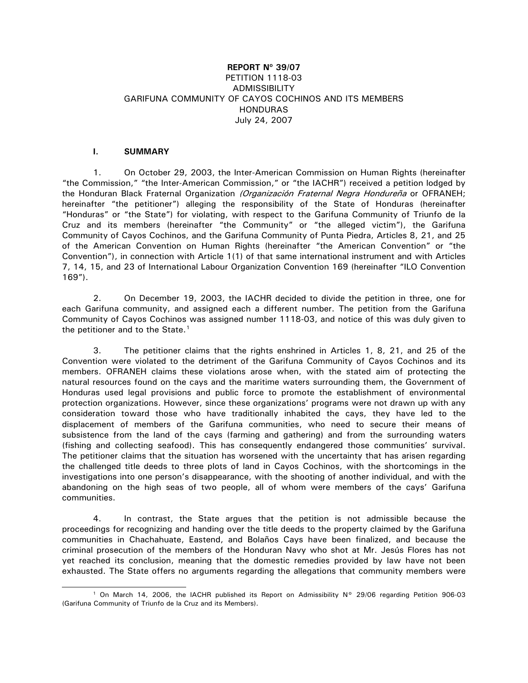# **REPORT Nº 39/07** PETITION 1118-03 ADMISSIBILITY GARIFUNA COMMUNITY OF CAYOS COCHINOS AND ITS MEMBERS **HONDURAS** July 24, 2007

# **I. SUMMARY**

j

1. On October 29, 2003, the Inter-American Commission on Human Rights (hereinafter "the Commission," "the Inter-American Commission," or "the IACHR") received a petition lodged by the Honduran Black Fraternal Organization (Organización Fraternal Negra Hondureña or OFRANEH; hereinafter "the petitioner") alleging the responsibility of the State of Honduras (hereinafter "Honduras" or "the State") for violating, with respect to the Garifuna Community of Triunfo de la Cruz and its members (hereinafter "the Community" or "the alleged victim"), the Garifuna Community of Cayos Cochinos, and the Garifuna Community of Punta Piedra, Articles 8, 21, and 25 of the American Convention on Human Rights (hereinafter "the American Convention" or "the Convention"), in connection with Article 1(1) of that same international instrument and with Articles 7, 14, 15, and 23 of International Labour Organization Convention 169 (hereinafter "ILO Convention 169").

2. On December 19, 2003, the IACHR decided to divide the petition in three, one for each Garifuna community, and assigned each a different number. The petition from the Garifuna Community of Cayos Cochinos was assigned number 1118-03, and notice of this was duly given to the petitioner and to the State.<sup>[1](#page-0-0)</sup>

3. The petitioner claims that the rights enshrined in Articles 1, 8, 21, and 25 of the Convention were violated to the detriment of the Garifuna Community of Cayos Cochinos and its members. OFRANEH claims these violations arose when, with the stated aim of protecting the natural resources found on the cays and the maritime waters surrounding them, the Government of Honduras used legal provisions and public force to promote the establishment of environmental protection organizations. However, since these organizations' programs were not drawn up with any consideration toward those who have traditionally inhabited the cays, they have led to the displacement of members of the Garifuna communities, who need to secure their means of subsistence from the land of the cays (farming and gathering) and from the surrounding waters (fishing and collecting seafood). This has consequently endangered those communities' survival. The petitioner claims that the situation has worsened with the uncertainty that has arisen regarding the challenged title deeds to three plots of land in Cayos Cochinos, with the shortcomings in the investigations into one person's disappearance, with the shooting of another individual, and with the abandoning on the high seas of two people, all of whom were members of the cays' Garifuna communities.

4. In contrast, the State argues that the petition is not admissible because the proceedings for recognizing and handing over the title deeds to the property claimed by the Garifuna communities in Chachahuate, Eastend, and Bolaños Cays have been finalized, and because the criminal prosecution of the members of the Honduran Navy who shot at Mr. Jesús Flores has not yet reached its conclusion, meaning that the domestic remedies provided by law have not been exhausted. The State offers no arguments regarding the allegations that community members were

<span id="page-0-0"></span><sup>&</sup>lt;sup>1</sup> On March 14, 2006, the IACHR published its Report on Admissibility N° 29/06 regarding Petition 906-03 (Garifuna Community of Triunfo de la Cruz and its Members).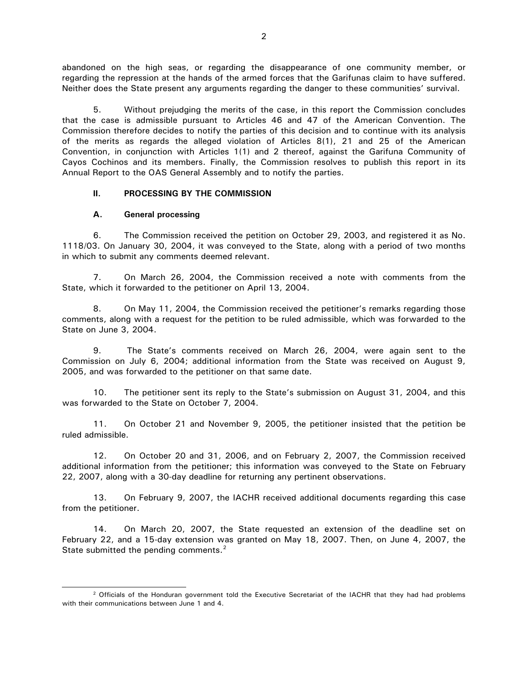abandoned on the high seas, or regarding the disappearance of one community member, or regarding the repression at the hands of the armed forces that the Garifunas claim to have suffered. Neither does the State present any arguments regarding the danger to these communities' survival.

5. Without prejudging the merits of the case, in this report the Commission concludes that the case is admissible pursuant to Articles 46 and 47 of the American Convention. The Commission therefore decides to notify the parties of this decision and to continue with its analysis of the merits as regards the alleged violation of Articles 8(1), 21 and 25 of the American Convention, in conjunction with Articles 1(1) and 2 thereof, against the Garifuna Community of Cayos Cochinos and its members. Finally, the Commission resolves to publish this report in its Annual Report to the OAS General Assembly and to notify the parties.

# **II. PROCESSING BY THE COMMISSION**

## **A. General processing**

j

6. The Commission received the petition on October 29, 2003, and registered it as No. 1118/03. On January 30, 2004, it was conveyed to the State, along with a period of two months in which to submit any comments deemed relevant.

7. On March 26, 2004, the Commission received a note with comments from the State, which it forwarded to the petitioner on April 13, 2004.

8. On May 11, 2004, the Commission received the petitioner's remarks regarding those comments, along with a request for the petition to be ruled admissible, which was forwarded to the State on June 3, 2004.

9. The State's comments received on March 26, 2004, were again sent to the Commission on July 6, 2004; additional information from the State was received on August 9, 2005, and was forwarded to the petitioner on that same date.

10. The petitioner sent its reply to the State's submission on August 31, 2004, and this was forwarded to the State on October 7, 2004.

11. On October 21 and November 9, 2005, the petitioner insisted that the petition be ruled admissible.

12. On October 20 and 31, 2006, and on February 2, 2007, the Commission received additional information from the petitioner; this information was conveyed to the State on February 22, 2007, along with a 30-day deadline for returning any pertinent observations.

13. On February 9, 2007, the IACHR received additional documents regarding this case from the petitioner.

14. On March 20, 2007, the State requested an extension of the deadline set on February 22, and a 15-day extension was granted on May 18, 2007. Then, on June 4, 2007, the State submitted the pending comments.<sup>[2](#page-1-0)</sup>

<span id="page-1-0"></span><sup>&</sup>lt;sup>2</sup> Officials of the Honduran government told the Executive Secretariat of the IACHR that they had had problems with their communications between June 1 and 4.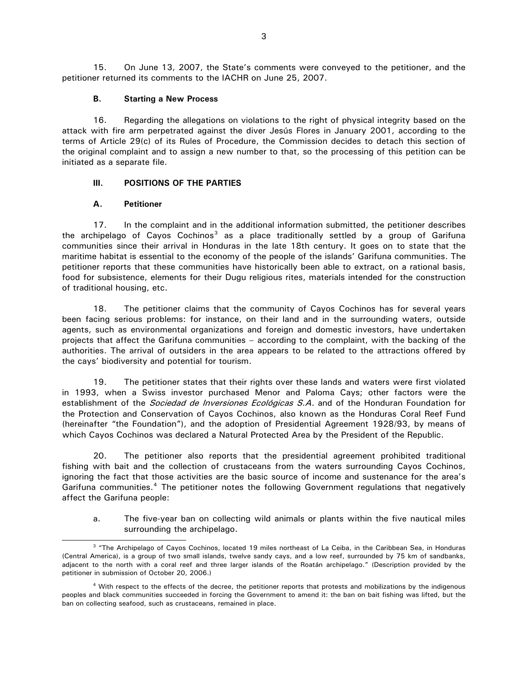15. On June 13, 2007, the State's comments were conveyed to the petitioner, and the petitioner returned its comments to the IACHR on June 25, 2007.

## **B. Starting a New Process**

16. Regarding the allegations on violations to the right of physical integrity based on the attack with fire arm perpetrated against the diver Jesús Flores in January 2001, according to the terms of Article 29(c) of its Rules of Procedure, the Commission decides to detach this section of the original complaint and to assign a new number to that, so the processing of this petition can be initiated as a separate file.

## **III. POSITIONS OF THE PARTIES**

#### **A. Petitioner**

 $\overline{a}$ 

17. In the complaint and in the additional information submitted, the petitioner describes the archipelago of Cayos Cochinos<sup>[3](#page-2-0)</sup> as a place traditionally settled by a group of Garifuna communities since their arrival in Honduras in the late 18th century. It goes on to state that the maritime habitat is essential to the economy of the people of the islands' Garifuna communities. The petitioner reports that these communities have historically been able to extract, on a rational basis, food for subsistence, elements for their Dugu religious rites, materials intended for the construction of traditional housing, etc.

18. The petitioner claims that the community of Cayos Cochinos has for several years been facing serious problems: for instance, on their land and in the surrounding waters, outside agents, such as environmental organizations and foreign and domestic investors, have undertaken projects that affect the Garifuna communities – according to the complaint, with the backing of the authorities. The arrival of outsiders in the area appears to be related to the attractions offered by the cays' biodiversity and potential for tourism.

19. The petitioner states that their rights over these lands and waters were first violated in 1993, when a Swiss investor purchased Menor and Paloma Cays; other factors were the establishment of the *Sociedad de Inversiones Ecológicas S.A.* and of the Honduran Foundation for the Protection and Conservation of Cayos Cochinos, also known as the Honduras Coral Reef Fund (hereinafter "the Foundation"), and the adoption of Presidential Agreement 1928/93, by means of which Cayos Cochinos was declared a Natural Protected Area by the President of the Republic.

20. The petitioner also reports that the presidential agreement prohibited traditional fishing with bait and the collection of crustaceans from the waters surrounding Cayos Cochinos, ignoring the fact that those activities are the basic source of income and sustenance for the area's Garifuna communities.<sup>[4](#page-2-1)</sup> The petitioner notes the following Government regulations that negatively affect the Garifuna people:

a. The five-year ban on collecting wild animals or plants within the five nautical miles surrounding the archipelago.

<span id="page-2-0"></span><sup>&</sup>lt;sup>3</sup> "The Archipelago of Cayos Cochinos, located 19 miles northeast of La Ceiba, in the Caribbean Sea, in Honduras (Central America), is a group of two small islands, twelve sandy cays, and a low reef, surrounded by 75 km of sandbanks, adjacent to the north with a coral reef and three larger islands of the Roatán archipelago." (Description provided by the petitioner in submission of October 20, 2006.)

<span id="page-2-1"></span><sup>&</sup>lt;sup>4</sup> With respect to the effects of the decree, the petitioner reports that protests and mobilizations by the indigenous peoples and black communities succeeded in forcing the Government to amend it: the ban on bait fishing was lifted, but the ban on collecting seafood, such as crustaceans, remained in place.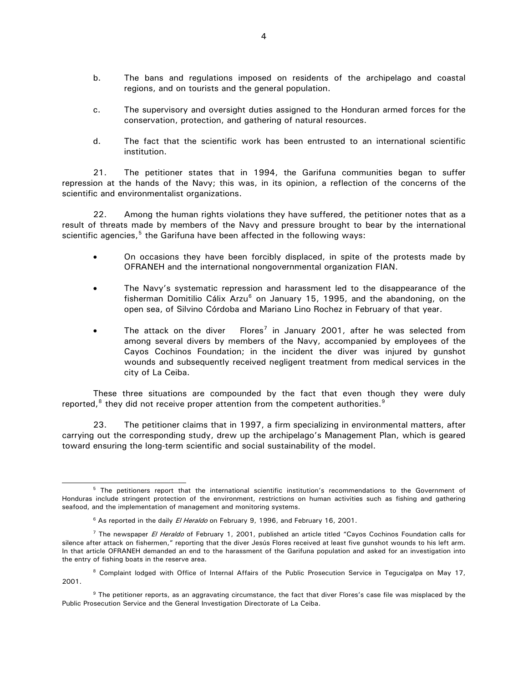- b. The bans and regulations imposed on residents of the archipelago and coastal regions, and on tourists and the general population.
- c. The supervisory and oversight duties assigned to the Honduran armed forces for the conservation, protection, and gathering of natural resources.
- d. The fact that the scientific work has been entrusted to an international scientific institution.

21. The petitioner states that in 1994, the Garifuna communities began to suffer repression at the hands of the Navy; this was, in its opinion, a reflection of the concerns of the scientific and environmentalist organizations.

22. Among the human rights violations they have suffered, the petitioner notes that as a result of threats made by members of the Navy and pressure brought to bear by the international scientific agencies, $5$  the Garifuna have been affected in the following ways:

- On occasions they have been forcibly displaced, in spite of the protests made by OFRANEH and the international nongovernmental organization FIAN.
- The Navy's systematic repression and harassment led to the disappearance of the fisherman Domitilio Cálix Arzu<sup>[6](#page-3-1)</sup> on January 15, 1995, and the abandoning, on the open sea, of Silvino Córdoba and Mariano Lino Rochez in February of that year.
- The attack on the diver  $\overline{F}$  Flores<sup>[7](#page-3-2)</sup> in January 2001, after he was selected from among several divers by members of the Navy, accompanied by employees of the Cayos Cochinos Foundation; in the incident the diver was injured by gunshot wounds and subsequently received negligent treatment from medical services in the city of La Ceiba.

These three situations are compounded by the fact that even though they were duly reported, $8$  they did not receive proper attention from the competent authorities. $9$ 

23. The petitioner claims that in 1997, a firm specializing in environmental matters, after carrying out the corresponding study, drew up the archipelago's Management Plan, which is geared toward ensuring the long-term scientific and social sustainability of the model.

l

<span id="page-3-0"></span><sup>5</sup> The petitioners report that the international scientific institution's recommendations to the Government of Honduras include stringent protection of the environment, restrictions on human activities such as fishing and gathering seafood, and the implementation of management and monitoring systems.

<sup>&</sup>lt;sup>6</sup> As reported in the daily *El Heraldo* on February 9, 1996, and February 16, 2001.

<span id="page-3-2"></span><span id="page-3-1"></span><sup>&</sup>lt;sup>7</sup> The newspaper El Heraldo of February 1, 2001, published an article titled "Cayos Cochinos Foundation calls for silence after attack on fishermen," reporting that the diver Jesús Flores received at least five gunshot wounds to his left arm. In that article OFRANEH demanded an end to the harassment of the Garifuna population and asked for an investigation into the entry of fishing boats in the reserve area.

<span id="page-3-3"></span><sup>&</sup>lt;sup>8</sup> Complaint lodged with Office of Internal Affairs of the Public Prosecution Service in Tegucigalpa on May 17, 2001.

<span id="page-3-4"></span><sup>&</sup>lt;sup>9</sup> The petitioner reports, as an aggravating circumstance, the fact that diver Flores's case file was misplaced by the Public Prosecution Service and the General Investigation Directorate of La Ceiba.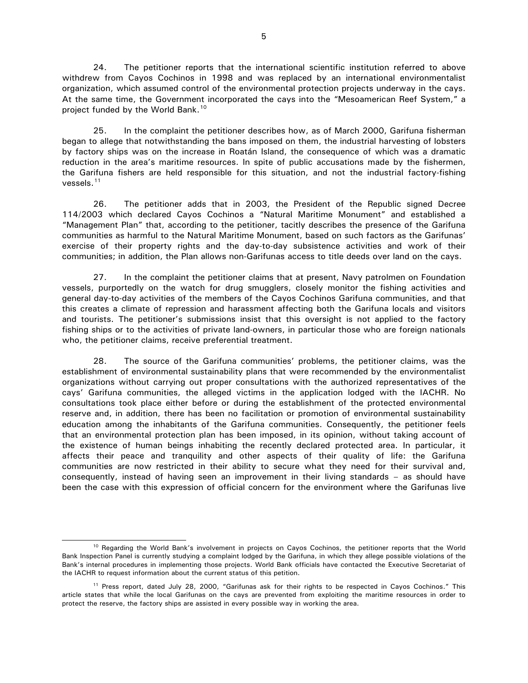24. The petitioner reports that the international scientific institution referred to above withdrew from Cayos Cochinos in 1998 and was replaced by an international environmentalist organization, which assumed control of the environmental protection projects underway in the cays. At the same time, the Government incorporated the cays into the "Mesoamerican Reef System," a project funded by the World Bank.<sup>[10](#page-4-0)</sup>

25. In the complaint the petitioner describes how, as of March 2000, Garifuna fisherman began to allege that notwithstanding the bans imposed on them, the industrial harvesting of lobsters by factory ships was on the increase in Roatán Island, the consequence of which was a dramatic reduction in the area's maritime resources. In spite of public accusations made by the fishermen, the Garifuna fishers are held responsible for this situation, and not the industrial factory-fishing vessels.<sup>[11](#page-4-1)</sup>

26. The petitioner adds that in 2003, the President of the Republic signed Decree 114/2003 which declared Cayos Cochinos a "Natural Maritime Monument" and established a "Management Plan" that, according to the petitioner, tacitly describes the presence of the Garifuna communities as harmful to the Natural Maritime Monument, based on such factors as the Garifunas' exercise of their property rights and the day-to-day subsistence activities and work of their communities; in addition, the Plan allows non-Garifunas access to title deeds over land on the cays.

27. In the complaint the petitioner claims that at present, Navy patrolmen on Foundation vessels, purportedly on the watch for drug smugglers, closely monitor the fishing activities and general day-to-day activities of the members of the Cayos Cochinos Garifuna communities, and that this creates a climate of repression and harassment affecting both the Garifuna locals and visitors and tourists. The petitioner's submissions insist that this oversight is not applied to the factory fishing ships or to the activities of private land-owners, in particular those who are foreign nationals who, the petitioner claims, receive preferential treatment.

28. The source of the Garifuna communities' problems, the petitioner claims, was the establishment of environmental sustainability plans that were recommended by the environmentalist organizations without carrying out proper consultations with the authorized representatives of the cays' Garifuna communities, the alleged victims in the application lodged with the IACHR. No consultations took place either before or during the establishment of the protected environmental reserve and, in addition, there has been no facilitation or promotion of environmental sustainability education among the inhabitants of the Garifuna communities. Consequently, the petitioner feels that an environmental protection plan has been imposed, in its opinion, without taking account of the existence of human beings inhabiting the recently declared protected area. In particular, it affects their peace and tranquility and other aspects of their quality of life: the Garifuna communities are now restricted in their ability to secure what they need for their survival and, consequently, instead of having seen an improvement in their living standards – as should have been the case with this expression of official concern for the environment where the Garifunas live

 $\overline{a}$ 

<span id="page-4-0"></span><sup>&</sup>lt;sup>10</sup> Regarding the World Bank's involvement in projects on Cayos Cochinos, the petitioner reports that the World Bank Inspection Panel is currently studying a complaint lodged by the Garifuna, in which they allege possible violations of the Bank's internal procedures in implementing those projects. World Bank officials have contacted the Executive Secretariat of the IACHR to request information about the current status of this petition.

<span id="page-4-1"></span><sup>11</sup> Press report, dated July 28, 2000, "Garifunas ask for their rights to be respected in Cayos Cochinos." This article states that while the local Garifunas on the cays are prevented from exploiting the maritime resources in order to protect the reserve, the factory ships are assisted in every possible way in working the area.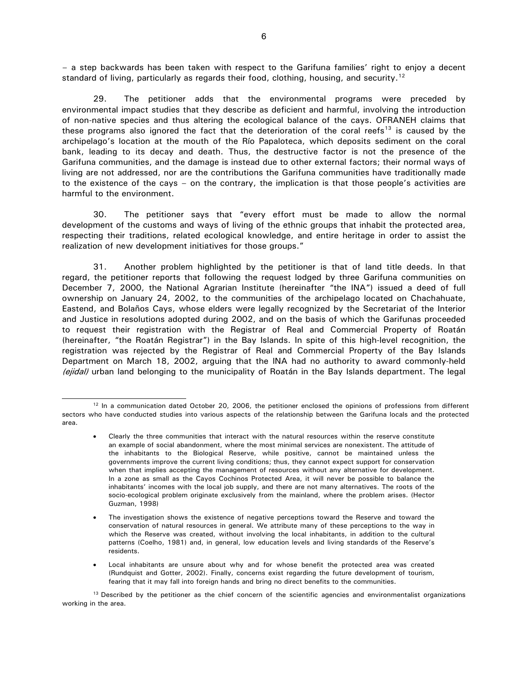– a step backwards has been taken with respect to the Garifuna families' right to enjoy a decent standard of living, particularly as regards their food, clothing, housing, and security.<sup>[12](#page-5-0)</sup>

29. The petitioner adds that the environmental programs were preceded by environmental impact studies that they describe as deficient and harmful, involving the introduction of non-native species and thus altering the ecological balance of the cays. OFRANEH claims that these programs also ignored the fact that the deterioration of the coral reefs<sup>[13](#page-5-1)</sup> is caused by the archipelago's location at the mouth of the Río Papaloteca, which deposits sediment on the coral bank, leading to its decay and death. Thus, the destructive factor is not the presence of the Garifuna communities, and the damage is instead due to other external factors; their normal ways of living are not addressed, nor are the contributions the Garifuna communities have traditionally made to the existence of the cays – on the contrary, the implication is that those people's activities are harmful to the environment.

30. The petitioner says that "every effort must be made to allow the normal development of the customs and ways of living of the ethnic groups that inhabit the protected area, respecting their traditions, related ecological knowledge, and entire heritage in order to assist the realization of new development initiatives for those groups."

31. Another problem highlighted by the petitioner is that of land title deeds. In that regard, the petitioner reports that following the request lodged by three Garifuna communities on December 7, 2000, the National Agrarian Institute (hereinafter "the INA") issued a deed of full ownership on January 24, 2002, to the communities of the archipelago located on Chachahuate, Eastend, and Bolaños Cays, whose elders were legally recognized by the Secretariat of the Interior and Justice in resolutions adopted during 2002, and on the basis of which the Garifunas proceeded to request their registration with the Registrar of Real and Commercial Property of Roatán (hereinafter, "the Roatán Registrar") in the Bay Islands. In spite of this high-level recognition, the registration was rejected by the Registrar of Real and Commercial Property of the Bay Islands Department on March 18, 2002, arguing that the INA had no authority to award commonly-held (ejidal) urban land belonging to the municipality of Roatán in the Bay Islands department. The legal

<span id="page-5-0"></span>l  $12$  In a communication dated October 20, 2006, the petitioner enclosed the opinions of professions from different sectors who have conducted studies into various aspects of the relationship between the Garifuna locals and the protected area.

<sup>•</sup> Clearly the three communities that interact with the natural resources within the reserve constitute an example of social abandonment, where the most minimal services are nonexistent. The attitude of the inhabitants to the Biological Reserve, while positive, cannot be maintained unless the governments improve the current living conditions; thus, they cannot expect support for conservation when that implies accepting the management of resources without any alternative for development. In a zone as small as the Cayos Cochinos Protected Area, it will never be possible to balance the inhabitants' incomes with the local job supply, and there are not many alternatives. The roots of the socio-ecological problem originate exclusively from the mainland, where the problem arises. (Hector Guzman, 1998)

<sup>•</sup> The investigation shows the existence of negative perceptions toward the Reserve and toward the conservation of natural resources in general. We attribute many of these perceptions to the way in which the Reserve was created, without involving the local inhabitants, in addition to the cultural patterns (Coelho, 1981) and, in general, low education levels and living standards of the Reserve's residents.

<sup>•</sup> Local inhabitants are unsure about why and for whose benefit the protected area was created (Rundquist and Gotter, 2002). Finally, concerns exist regarding the future development of tourism, fearing that it may fall into foreign hands and bring no direct benefits to the communities.

<span id="page-5-1"></span><sup>&</sup>lt;sup>13</sup> Described by the petitioner as the chief concern of the scientific agencies and environmentalist organizations working in the area.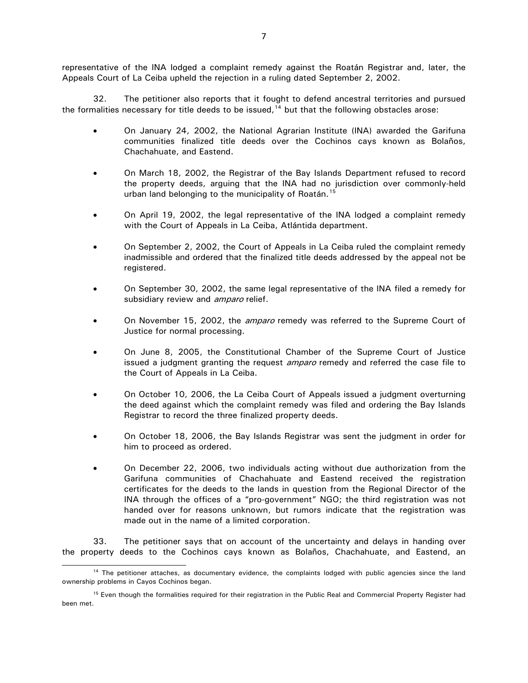representative of the INA lodged a complaint remedy against the Roatán Registrar and, later, the Appeals Court of La Ceiba upheld the rejection in a ruling dated September 2, 2002.

32. The petitioner also reports that it fought to defend ancestral territories and pursued the formalities necessary for title deeds to be issued, $14$  but that the following obstacles arose:

- On January 24, 2002, the National Agrarian Institute (INA) awarded the Garifuna communities finalized title deeds over the Cochinos cays known as Bolaños, Chachahuate, and Eastend.
- On March 18, 2002, the Registrar of the Bay Islands Department refused to record the property deeds, arguing that the INA had no jurisdiction over commonly-held urban land belonging to the municipality of Roatán.<sup>[15](#page-6-1)</sup>
- On April 19, 2002, the legal representative of the INA lodged a complaint remedy with the Court of Appeals in La Ceiba, Atlántida department.
- On September 2, 2002, the Court of Appeals in La Ceiba ruled the complaint remedy inadmissible and ordered that the finalized title deeds addressed by the appeal not be registered.
- On September 30, 2002, the same legal representative of the INA filed a remedy for subsidiary review and *amparo* relief.
- On November 15, 2002, the *amparo* remedy was referred to the Supreme Court of Justice for normal processing.
- On June 8, 2005, the Constitutional Chamber of the Supreme Court of Justice issued a judgment granting the request *amparo* remedy and referred the case file to the Court of Appeals in La Ceiba.
- On October 10, 2006, the La Ceiba Court of Appeals issued a judgment overturning the deed against which the complaint remedy was filed and ordering the Bay Islands Registrar to record the three finalized property deeds.
- On October 18, 2006, the Bay Islands Registrar was sent the judgment in order for him to proceed as ordered.
- On December 22, 2006, two individuals acting without due authorization from the Garifuna communities of Chachahuate and Eastend received the registration certificates for the deeds to the lands in question from the Regional Director of the INA through the offices of a "pro-government" NGO; the third registration was not handed over for reasons unknown, but rumors indicate that the registration was made out in the name of a limited corporation.

33. The petitioner says that on account of the uncertainty and delays in handing over the property deeds to the Cochinos cays known as Bolaños, Chachahuate, and Eastend, an

j

<span id="page-6-0"></span><sup>&</sup>lt;sup>14</sup> The petitioner attaches, as documentary evidence, the complaints lodged with public agencies since the land ownership problems in Cayos Cochinos began.

<span id="page-6-1"></span><sup>&</sup>lt;sup>15</sup> Even though the formalities required for their registration in the Public Real and Commercial Property Register had been met.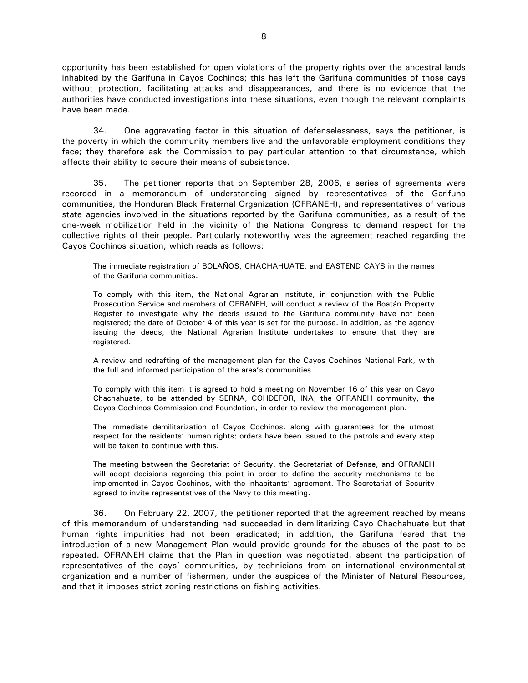opportunity has been established for open violations of the property rights over the ancestral lands inhabited by the Garifuna in Cayos Cochinos; this has left the Garifuna communities of those cays without protection, facilitating attacks and disappearances, and there is no evidence that the authorities have conducted investigations into these situations, even though the relevant complaints have been made.

34. One aggravating factor in this situation of defenselessness, says the petitioner, is the poverty in which the community members live and the unfavorable employment conditions they face; they therefore ask the Commission to pay particular attention to that circumstance, which affects their ability to secure their means of subsistence.

35. The petitioner reports that on September 28, 2006, a series of agreements were recorded in a memorandum of understanding signed by representatives of the Garifuna communities, the Honduran Black Fraternal Organization (OFRANEH), and representatives of various state agencies involved in the situations reported by the Garifuna communities, as a result of the one-week mobilization held in the vicinity of the National Congress to demand respect for the collective rights of their people. Particularly noteworthy was the agreement reached regarding the Cayos Cochinos situation, which reads as follows:

The immediate registration of BOLAÑOS, CHACHAHUATE, and EASTEND CAYS in the names of the Garifuna communities.

To comply with this item, the National Agrarian Institute, in conjunction with the Public Prosecution Service and members of OFRANEH, will conduct a review of the Roatán Property Register to investigate why the deeds issued to the Garifuna community have not been registered; the date of October 4 of this year is set for the purpose. In addition, as the agency issuing the deeds, the National Agrarian Institute undertakes to ensure that they are registered.

A review and redrafting of the management plan for the Cayos Cochinos National Park, with the full and informed participation of the area's communities.

To comply with this item it is agreed to hold a meeting on November 16 of this year on Cayo Chachahuate, to be attended by SERNA, COHDEFOR, INA, the OFRANEH community, the Cayos Cochinos Commission and Foundation, in order to review the management plan.

The immediate demilitarization of Cayos Cochinos, along with guarantees for the utmost respect for the residents' human rights; orders have been issued to the patrols and every step will be taken to continue with this.

The meeting between the Secretariat of Security, the Secretariat of Defense, and OFRANEH will adopt decisions regarding this point in order to define the security mechanisms to be implemented in Cayos Cochinos, with the inhabitants' agreement. The Secretariat of Security agreed to invite representatives of the Navy to this meeting.

36. On February 22, 2007, the petitioner reported that the agreement reached by means of this memorandum of understanding had succeeded in demilitarizing Cayo Chachahuate but that human rights impunities had not been eradicated; in addition, the Garifuna feared that the introduction of a new Management Plan would provide grounds for the abuses of the past to be repeated. OFRANEH claims that the Plan in question was negotiated, absent the participation of representatives of the cays' communities, by technicians from an international environmentalist organization and a number of fishermen, under the auspices of the Minister of Natural Resources, and that it imposes strict zoning restrictions on fishing activities.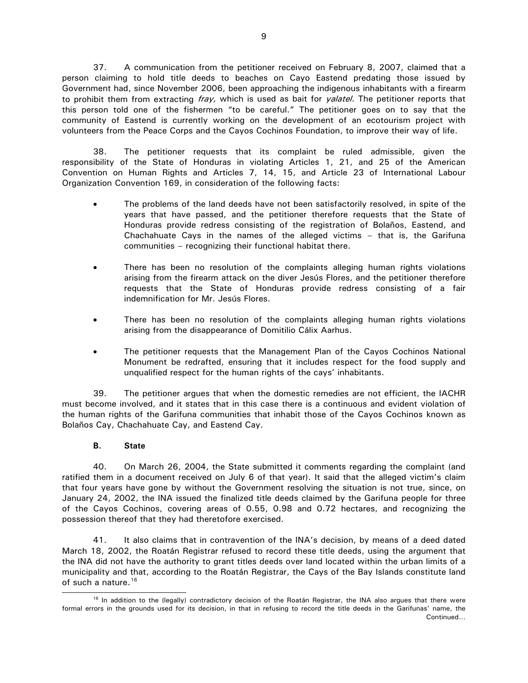37. A communication from the petitioner received on February 8, 2007, claimed that a person claiming to hold title deeds to beaches on Cayo Eastend predating those issued by Government had, since November 2006, been approaching the indigenous inhabitants with a firearm to prohibit them from extracting fray, which is used as bait for yalatel. The petitioner reports that this person told one of the fishermen "to be careful." The petitioner goes on to say that the community of Eastend is currently working on the development of an ecotourism project with volunteers from the Peace Corps and the Cayos Cochinos Foundation, to improve their way of life.

38. The petitioner requests that its complaint be ruled admissible, given the responsibility of the State of Honduras in violating Articles 1, 21, and 25 of the American Convention on Human Rights and Articles 7, 14, 15, and Article 23 of International Labour Organization Convention 169, in consideration of the following facts:

- The problems of the land deeds have not been satisfactorily resolved, in spite of the years that have passed, and the petitioner therefore requests that the State of Honduras provide redress consisting of the registration of Bolaños, Eastend, and Chachahuate Cays in the names of the alleged victims – that is, the Garifuna communities – recognizing their functional habitat there.
- There has been no resolution of the complaints alleging human rights violations arising from the firearm attack on the diver Jesús Flores, and the petitioner therefore requests that the State of Honduras provide redress consisting of a fair indemnification for Mr. Jesús Flores.
- There has been no resolution of the complaints alleging human rights violations arising from the disappearance of Domitilio Cálix Aarhus.
- The petitioner requests that the Management Plan of the Cayos Cochinos National Monument be redrafted, ensuring that it includes respect for the food supply and unqualified respect for the human rights of the cays' inhabitants.

39. The petitioner argues that when the domestic remedies are not efficient, the IACHR must become involved, and it states that in this case there is a continuous and evident violation of the human rights of the Garifuna communities that inhabit those of the Cayos Cochinos known as Bolaños Cay, Chachahuate Cay, and Eastend Cay.

# **B. State**

j

40. On March 26, 2004, the State submitted it comments regarding the complaint (and ratified them in a document received on July 6 of that year). It said that the alleged victim's claim that four years have gone by without the Government resolving the situation is not true, since, on January 24, 2002, the INA issued the finalized title deeds claimed by the Garifuna people for three of the Cayos Cochinos, covering areas of 0.55, 0.98 and 0.72 hectares, and recognizing the possession thereof that they had theretofore exercised.

41. It also claims that in contravention of the INA's decision, by means of a deed dated March 18, 2002, the Roatán Registrar refused to record these title deeds, using the argument that the INA did not have the authority to grant titles deeds over land located within the urban limits of a municipality and that, according to the Roatán Registrar, the Cays of the Bay Islands constitute land of such a nature.<sup>[16](#page-8-0)</sup>

<span id="page-8-0"></span>Continued… <sup>16</sup> In addition to the (legally) contradictory decision of the Roatán Registrar, the INA also argues that there were formal errors in the grounds used for its decision, in that in refusing to record the title deeds in the Garifunas' name, the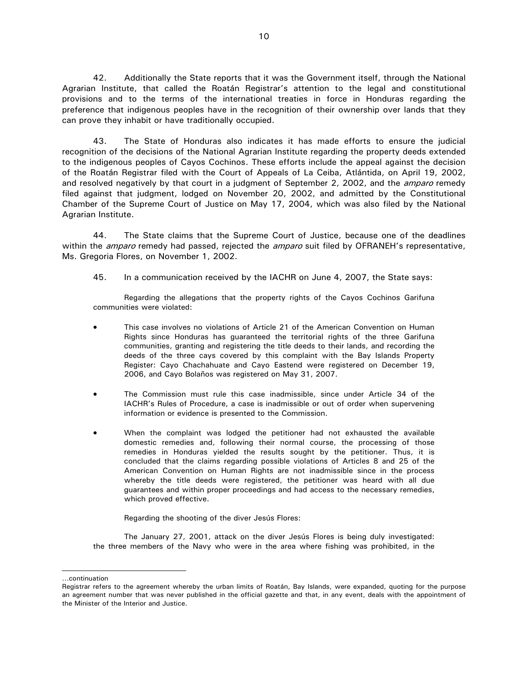42. Additionally the State reports that it was the Government itself, through the National Agrarian Institute, that called the Roatán Registrar's attention to the legal and constitutional provisions and to the terms of the international treaties in force in Honduras regarding the preference that indigenous peoples have in the recognition of their ownership over lands that they can prove they inhabit or have traditionally occupied.

43. The State of Honduras also indicates it has made efforts to ensure the judicial recognition of the decisions of the National Agrarian Institute regarding the property deeds extended to the indigenous peoples of Cayos Cochinos. These efforts include the appeal against the decision of the Roatán Registrar filed with the Court of Appeals of La Ceiba, Atlántida, on April 19, 2002, and resolved negatively by that court in a judgment of September 2, 2002, and the *amparo* remedy filed against that judgment, lodged on November 20, 2002, and admitted by the Constitutional Chamber of the Supreme Court of Justice on May 17, 2004, which was also filed by the National Agrarian Institute.

44. The State claims that the Supreme Court of Justice, because one of the deadlines within the *amparo* remedy had passed, rejected the *amparo* suit filed by OFRANEH's representative, Ms. Gregoria Flores, on November 1, 2002.

45. In a communication received by the IACHR on June 4, 2007, the State says:

Regarding the allegations that the property rights of the Cayos Cochinos Garifuna communities were violated:

- This case involves no violations of Article 21 of the American Convention on Human Rights since Honduras has guaranteed the territorial rights of the three Garifuna communities, granting and registering the title deeds to their lands, and recording the deeds of the three cays covered by this complaint with the Bay Islands Property Register: Cayo Chachahuate and Cayo Eastend were registered on December 19, 2006, and Cayo Bolaños was registered on May 31, 2007.
- The Commission must rule this case inadmissible, since under Article 34 of the IACHR's Rules of Procedure, a case is inadmissible or out of order when supervening information or evidence is presented to the Commission.
- When the complaint was lodged the petitioner had not exhausted the available domestic remedies and, following their normal course, the processing of those remedies in Honduras yielded the results sought by the petitioner. Thus, it is concluded that the claims regarding possible violations of Articles 8 and 25 of the American Convention on Human Rights are not inadmissible since in the process whereby the title deeds were registered, the petitioner was heard with all due guarantees and within proper proceedings and had access to the necessary remedies, which proved effective.

Regarding the shooting of the diver Jesús Flores:

The January 27, 2001, attack on the diver Jesús Flores is being duly investigated: the three members of the Navy who were in the area where fishing was prohibited, in the

j

<sup>…</sup>continuation

Registrar refers to the agreement whereby the urban limits of Roatán, Bay Islands, were expanded, quoting for the purpose an agreement number that was never published in the official gazette and that, in any event, deals with the appointment of the Minister of the Interior and Justice.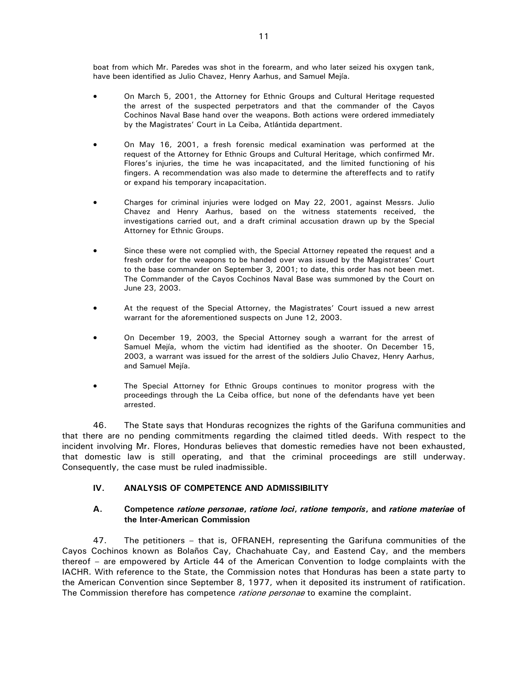boat from which Mr. Paredes was shot in the forearm, and who later seized his oxygen tank, have been identified as Julio Chavez, Henry Aarhus, and Samuel Mejía.

- On March 5, 2001, the Attorney for Ethnic Groups and Cultural Heritage requested the arrest of the suspected perpetrators and that the commander of the Cayos Cochinos Naval Base hand over the weapons. Both actions were ordered immediately by the Magistrates' Court in La Ceiba, Atlántida department.
- On May 16, 2001, a fresh forensic medical examination was performed at the request of the Attorney for Ethnic Groups and Cultural Heritage, which confirmed Mr. Flores's injuries, the time he was incapacitated, and the limited functioning of his fingers. A recommendation was also made to determine the aftereffects and to ratify or expand his temporary incapacitation.
- Charges for criminal injuries were lodged on May 22, 2001, against Messrs. Julio Chavez and Henry Aarhus, based on the witness statements received, the investigations carried out, and a draft criminal accusation drawn up by the Special Attorney for Ethnic Groups.
- Since these were not complied with, the Special Attorney repeated the request and a fresh order for the weapons to be handed over was issued by the Magistrates' Court to the base commander on September 3, 2001; to date, this order has not been met. The Commander of the Cayos Cochinos Naval Base was summoned by the Court on June 23, 2003.
- At the request of the Special Attorney, the Magistrates' Court issued a new arrest warrant for the aforementioned suspects on June 12, 2003.
- On December 19, 2003, the Special Attorney sough a warrant for the arrest of Samuel Mejía, whom the victim had identified as the shooter. On December 15, 2003, a warrant was issued for the arrest of the soldiers Julio Chavez, Henry Aarhus, and Samuel Mejía.
- The Special Attorney for Ethnic Groups continues to monitor progress with the proceedings through the La Ceiba office, but none of the defendants have yet been arrested.

46. The State says that Honduras recognizes the rights of the Garifuna communities and that there are no pending commitments regarding the claimed titled deeds. With respect to the incident involving Mr. Flores, Honduras believes that domestic remedies have not been exhausted, that domestic law is still operating, and that the criminal proceedings are still underway. Consequently, the case must be ruled inadmissible.

## **IV. ANALYSIS OF COMPETENCE AND ADMISSIBILITY**

## **A. Competence** *ratione personae***,** *ratione loci***,** *ratione temporis***, and** *ratione materiae* **of the Inter-American Commission**

47. The petitioners – that is, OFRANEH, representing the Garifuna communities of the Cayos Cochinos known as Bolaños Cay, Chachahuate Cay, and Eastend Cay, and the members thereof – are empowered by Article 44 of the American Convention to lodge complaints with the IACHR. With reference to the State, the Commission notes that Honduras has been a state party to the American Convention since September 8, 1977, when it deposited its instrument of ratification. The Commission therefore has competence *ratione personae* to examine the complaint.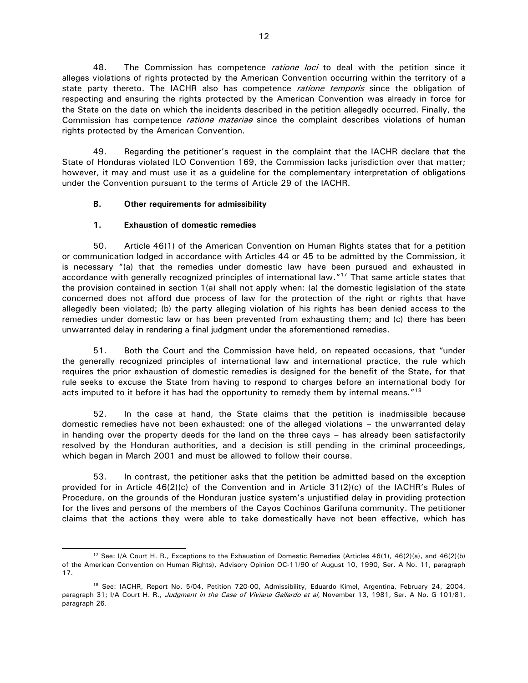48. The Commission has competence *ratione loci* to deal with the petition since it alleges violations of rights protected by the American Convention occurring within the territory of a state party thereto. The IACHR also has competence *ratione temporis* since the obligation of respecting and ensuring the rights protected by the American Convention was already in force for the State on the date on which the incidents described in the petition allegedly occurred. Finally, the Commission has competence *ratione materiae* since the complaint describes violations of human rights protected by the American Convention.

49. Regarding the petitioner's request in the complaint that the IACHR declare that the State of Honduras violated ILO Convention 169, the Commission lacks jurisdiction over that matter; however, it may and must use it as a guideline for the complementary interpretation of obligations under the Convention pursuant to the terms of Article 29 of the IACHR.

# **B. Other requirements for admissibility**

# **1. Exhaustion of domestic remedies**

 $\overline{a}$ 

50. Article 46(1) of the American Convention on Human Rights states that for a petition or communication lodged in accordance with Articles 44 or 45 to be admitted by the Commission, it is necessary "(a) that the remedies under domestic law have been pursued and exhausted in accordance with generally recognized principles of international law."<sup>[17](#page-11-0)</sup> That same article states that the provision contained in section 1(a) shall not apply when: (a) the domestic legislation of the state concerned does not afford due process of law for the protection of the right or rights that have allegedly been violated; (b) the party alleging violation of his rights has been denied access to the remedies under domestic law or has been prevented from exhausting them; and (c) there has been unwarranted delay in rendering a final judgment under the aforementioned remedies.

51. Both the Court and the Commission have held, on repeated occasions, that "under the generally recognized principles of international law and international practice, the rule which requires the prior exhaustion of domestic remedies is designed for the benefit of the State, for that rule seeks to excuse the State from having to respond to charges before an international body for acts imputed to it before it has had the opportunity to remedy them by internal means."<sup>[18](#page-11-1)</sup>

52. In the case at hand, the State claims that the petition is inadmissible because domestic remedies have not been exhausted: one of the alleged violations – the unwarranted delay in handing over the property deeds for the land on the three cays – has already been satisfactorily resolved by the Honduran authorities, and a decision is still pending in the criminal proceedings, which began in March 2001 and must be allowed to follow their course.

53. In contrast, the petitioner asks that the petition be admitted based on the exception provided for in Article 46(2)(c) of the Convention and in Article 31(2)(c) of the IACHR's Rules of Procedure, on the grounds of the Honduran justice system's unjustified delay in providing protection for the lives and persons of the members of the Cayos Cochinos Garifuna community. The petitioner claims that the actions they were able to take domestically have not been effective, which has

<span id="page-11-0"></span><sup>&</sup>lt;sup>17</sup> See: I/A Court H. R., Exceptions to the Exhaustion of Domestic Remedies (Articles 46(1), 46(2)(a), and 46(2)(b) of the American Convention on Human Rights), Advisory Opinion OC-11/90 of August 10, 1990, Ser. A No. 11, paragraph 17.

<span id="page-11-1"></span><sup>18</sup> See: IACHR, Report No. 5/04**,** Petition 720-00, Admissibility, Eduardo Kimel, Argentina, February 24, 2004, paragraph 31; I/A Court H. R., Judgment in the Case of Viviana Gallardo et al, November 13, 1981, Ser. A No. G 101/81, paragraph 26.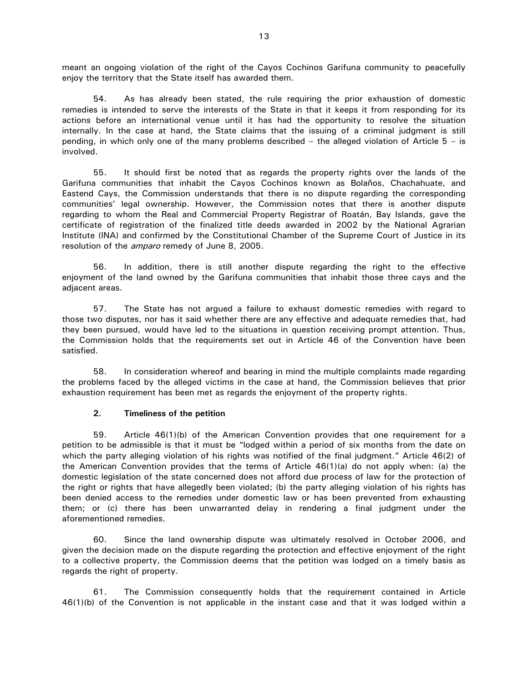meant an ongoing violation of the right of the Cayos Cochinos Garifuna community to peacefully enjoy the territory that the State itself has awarded them.

54. As has already been stated, the rule requiring the prior exhaustion of domestic remedies is intended to serve the interests of the State in that it keeps it from responding for its actions before an international venue until it has had the opportunity to resolve the situation internally. In the case at hand, the State claims that the issuing of a criminal judgment is still pending, in which only one of the many problems described – the alleged violation of Article 5 – is involved.

55. It should first be noted that as regards the property rights over the lands of the Garifuna communities that inhabit the Cayos Cochinos known as Bolaños, Chachahuate, and Eastend Cays, the Commission understands that there is no dispute regarding the corresponding communities' legal ownership. However, the Commission notes that there is another dispute regarding to whom the Real and Commercial Property Registrar of Roatán, Bay Islands, gave the certificate of registration of the finalized title deeds awarded in 2002 by the National Agrarian Institute (INA) and confirmed by the Constitutional Chamber of the Supreme Court of Justice in its resolution of the *amparo* remedy of June 8, 2005.

56. In addition, there is still another dispute regarding the right to the effective enjoyment of the land owned by the Garifuna communities that inhabit those three cays and the adjacent areas.

57. The State has not argued a failure to exhaust domestic remedies with regard to those two disputes, nor has it said whether there are any effective and adequate remedies that, had they been pursued, would have led to the situations in question receiving prompt attention. Thus, the Commission holds that the requirements set out in Article 46 of the Convention have been satisfied.

58. In consideration whereof and bearing in mind the multiple complaints made regarding the problems faced by the alleged victims in the case at hand, the Commission believes that prior exhaustion requirement has been met as regards the enjoyment of the property rights.

## **2. Timeliness of the petition**

59. Article 46(1)(b) of the American Convention provides that one requirement for a petition to be admissible is that it must be "lodged within a period of six months from the date on which the party alleging violation of his rights was notified of the final judgment." Article 46(2) of the American Convention provides that the terms of Article 46(1)(a) do not apply when: (a) the domestic legislation of the state concerned does not afford due process of law for the protection of the right or rights that have allegedly been violated; (b) the party alleging violation of his rights has been denied access to the remedies under domestic law or has been prevented from exhausting them; or (c) there has been unwarranted delay in rendering a final judgment under the aforementioned remedies.

60. Since the land ownership dispute was ultimately resolved in October 2006, and given the decision made on the dispute regarding the protection and effective enjoyment of the right to a collective property, the Commission deems that the petition was lodged on a timely basis as regards the right of property.

61. The Commission consequently holds that the requirement contained in Article 46(1)(b) of the Convention is not applicable in the instant case and that it was lodged within a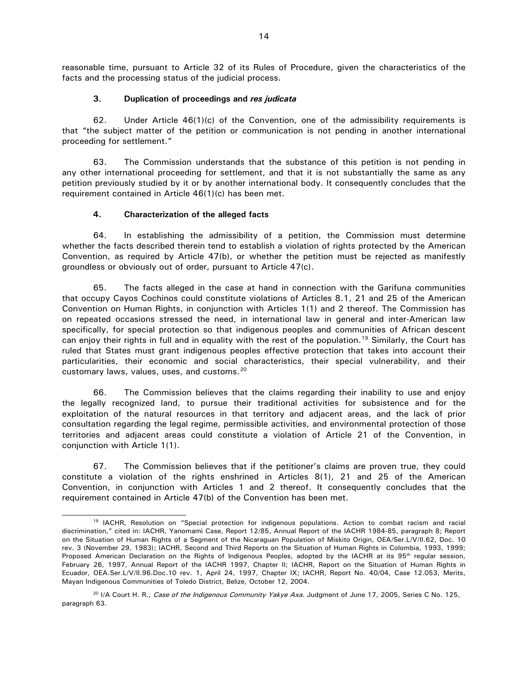reasonable time, pursuant to Article 32 of its Rules of Procedure, given the characteristics of the facts and the processing status of the judicial process.

#### **3. Duplication of proceedings and** *res judicata*

62. Under Article 46(1)(c) of the Convention, one of the admissibility requirements is that "the subject matter of the petition or communication is not pending in another international proceeding for settlement."

63. The Commission understands that the substance of this petition is not pending in any other international proceeding for settlement, and that it is not substantially the same as any petition previously studied by it or by another international body. It consequently concludes that the requirement contained in Article 46(1)(c) has been met.

#### **4. Characterization of the alleged facts**

l

64. In establishing the admissibility of a petition, the Commission must determine whether the facts described therein tend to establish a violation of rights protected by the American Convention, as required by Article 47(b), or whether the petition must be rejected as manifestly groundless or obviously out of order, pursuant to Article 47(c).

65. The facts alleged in the case at hand in connection with the Garifuna communities that occupy Cayos Cochinos could constitute violations of Articles 8.1, 21 and 25 of the American Convention on Human Rights, in conjunction with Articles 1(1) and 2 thereof. The Commission has on repeated occasions stressed the need, in international law in general and inter-American law specifically, for special protection so that indigenous peoples and communities of African descent can enjoy their rights in full and in equality with the rest of the population.<sup>19</sup> Similarly, the Court has ruled that States must grant indigenous peoples effective protection that takes into account their particularities, their economic and social characteristics, their special vulnerability, and their customary laws, values, uses, and customs.<sup>[20](#page-13-1)</sup>

66. The Commission believes that the claims regarding their inability to use and enjoy the legally recognized land, to pursue their traditional activities for subsistence and for the exploitation of the natural resources in that territory and adjacent areas, and the lack of prior consultation regarding the legal regime, permissible activities, and environmental protection of those territories and adjacent areas could constitute a violation of Article 21 of the Convention, in conjunction with Article 1(1).

67. The Commission believes that if the petitioner's claims are proven true, they could constitute a violation of the rights enshrined in Articles 8(1), 21 and 25 of the American Convention, in conjunction with Articles 1 and 2 thereof. It consequently concludes that the requirement contained in Article 47(b) of the Convention has been met.

<span id="page-13-0"></span><sup>&</sup>lt;sup>19</sup> IACHR, Resolution on "Special protection for indigenous populations. Action to combat racism and racial discrimination," cited in: IACHR, Yanomami Case, Report 12/85, Annual Report of the IACHR 1984-85, paragraph 8; Report on the Situation of Human Rights of a Segment of the Nicaraguan Population of Miskito Origin, OEA/Ser.L/V/II.62, Doc. 10 rev. 3 (November 29, 1983); IACHR, Second and Third Reports on the Situation of Human Rights in Colombia, 1993, 1999; Proposed American Declaration on the Rights of Indigenous Peoples, adopted by the IACHR at its 95<sup>th</sup> regular session, February 26, 1997, Annual Report of the IACHR 1997, Chapter II; IACHR, Report on the Situation of Human Rights in Ecuador, OEA.Ser.L/V/II.96.Doc.10 rev. 1, April 24, 1997, Chapter IX; IACHR, Report No. 40/04, Case 12.053, Merits, Mayan Indigenous Communities of Toledo District, Belize, October 12, 2004.

<span id="page-13-1"></span><sup>&</sup>lt;sup>20</sup> I/A Court H. R., Case of the Indigenous Community Yakye Axa. Judgment of June 17, 2005, Series C No. 125, paragraph 63.